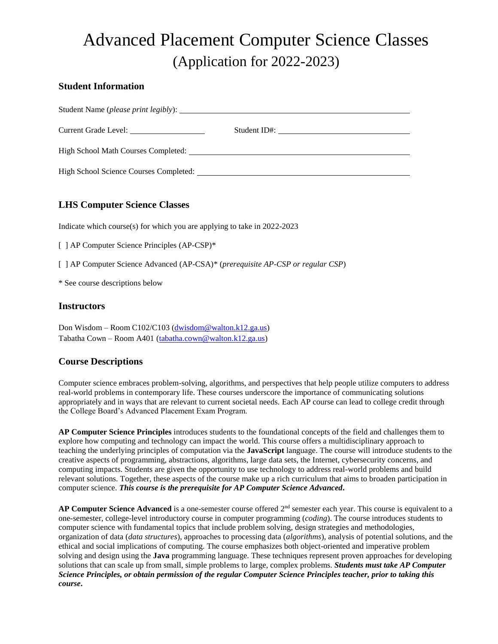# Advanced Placement Computer Science Classes (Application for 2022-2023)

#### **Student Information**

| Student Name ( <i>please print legibly</i> ): |              |
|-----------------------------------------------|--------------|
|                                               | Student ID#: |
| High School Math Courses Completed:           |              |
|                                               |              |

# **LHS Computer Science Classes**

Indicate which course(s) for which you are applying to take in 2022-2023

|  |  | [ ] AP Computer Science Principles (AP-CSP)* |  |  |
|--|--|----------------------------------------------|--|--|
|  |  |                                              |  |  |

[ ] AP Computer Science Advanced (AP-CSA)\* (*prerequisite AP-CSP or regular CSP*)

\* See course descriptions below

#### **Instructors**

Don Wisdom – Room C102/C103 [\(dwisdom@walton.k12.ga.us\)](mailto:dwisdom@walton.k12.ga.us) Tabatha Cown – Room A401 [\(tabatha.cown@walton.k12.ga.us\)](mailto:tabatha.cown@walton.k12.ga.us)

# **Course Descriptions**

Computer science embraces problem-solving, algorithms, and perspectives that help people utilize computers to address real-world problems in contemporary life. These courses underscore the importance of communicating solutions appropriately and in ways that are relevant to current societal needs. Each AP course can lead to college credit through the College Board's Advanced Placement Exam Program.

**AP Computer Science Principles** introduces students to the foundational concepts of the field and challenges them to explore how computing and technology can impact the world. This course offers a multidisciplinary approach to teaching the underlying principles of computation via the **JavaScript** language. The course will introduce students to the creative aspects of programming, abstractions, algorithms, large data sets, the Internet, cybersecurity concerns, and computing impacts. Students are given the opportunity to use technology to address real-world problems and build relevant solutions. Together, these aspects of the course make up a rich curriculum that aims to broaden participation in computer science. *This course is the prerequisite for AP Computer Science Advanced***.**

AP Computer Science Advanced is a one-semester course offered 2<sup>nd</sup> semester each year. This course is equivalent to a one-semester, college-level introductory course in computer programming (*coding*). The course introduces students to computer science with fundamental topics that include problem solving, design strategies and methodologies, organization of data (*data structures*), approaches to processing data (*algorithms*), analysis of potential solutions, and the ethical and social implications of computing. The course emphasizes both object-oriented and imperative problem solving and design using the **Java** programming language. These techniques represent proven approaches for developing solutions that can scale up from small, simple problems to large, complex problems. *Students must take AP Computer Science Principles, or obtain permission of the regular Computer Science Principles teacher, prior to taking this course***.**